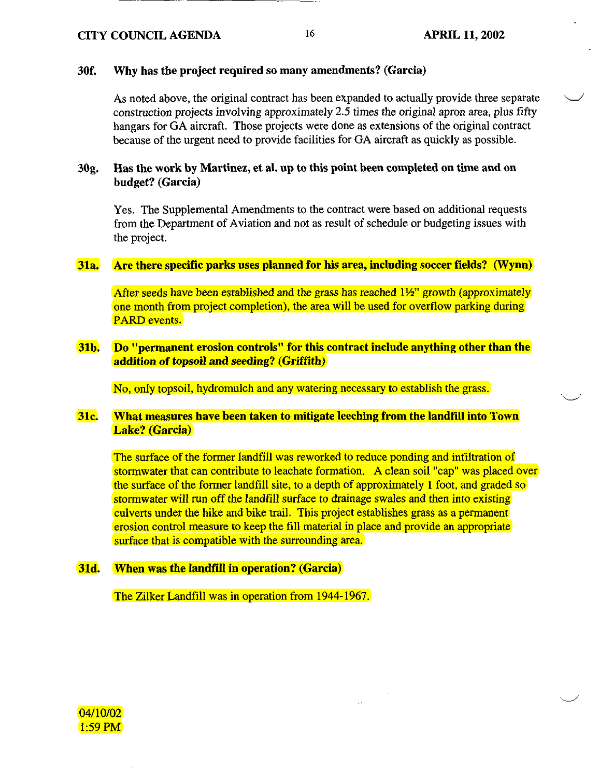# 30f. Why has the project required so many amendments? (Garcia)

As noted above, the original contract has been expanded to actually provide three separate construction projects involving approximately 2.5 times the original apron area, plus fifty hangars for GA aircraft. Those projects were done as extensions of the original contract because of the urgent need to provide facilities for GA aircraft as quickly as possible.

# 30g. Has the work by Martinez, et al. up to this point been completed on time and on budget? (Garcia)

Yes. The Supplemental Amendments to the contract were based on additional requests from the Department of Aviation and not as result of schedule or budgeting issues with the project.

#### 31a. Are there specific parks uses planned for his area, including soccer fields? (Wynn)

After seeds have been established and the grass has reached  $1\frac{1}{2}$  growth (approximately one month from project completion), the area will be used for overflow parking during PARD events.

# 31b. Do "permanent erosion controls" for this contract include anything other than the addition of topsoil and seeding? (Griffith)

No, only topsoil, hydromulch and any watering necessary to establish the grass.

# 31c. What measures have been taken to mitigate leeching from the landfill into Town Lake? (Garcia)

The surface of the former landfill was reworked to reduce ponding and infiltration of stormwater that can contribute to leachate formation. A clean soil "cap" was placed over the surface of the former landfill site, to a depth of approximately 1 foot, and graded so stormwater will run off the landfill surface to drainage swales and then into existing culverts under the hike and bike trail. This project establishes grass as a permanent erosion control measure to keep the fill material in place and provide an appropriate surface that is compatible with the surrounding area.

#### 31d. When was the landfill in operation? (Garcia)

The Zilker Landfill was in operation from 1944-1967.

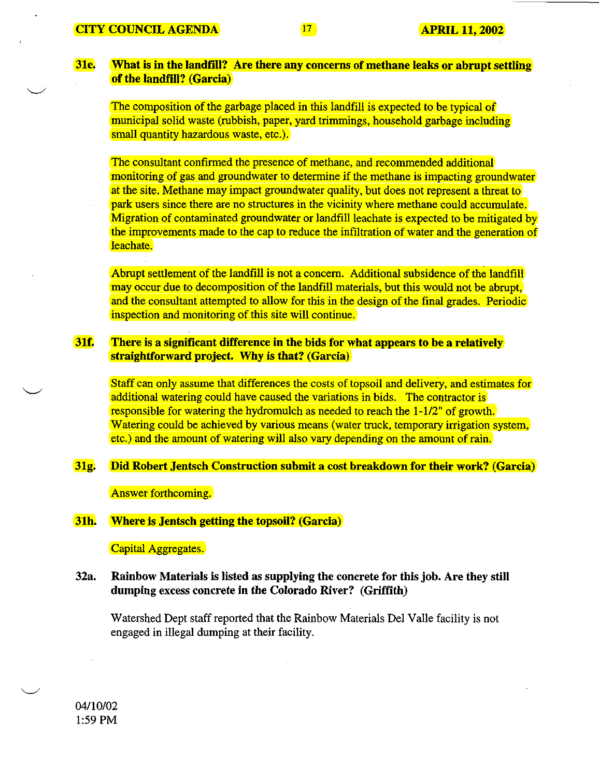# 31e. What is in the landfill? Are there any concerns of methane leaks or abrupt settling of the landfill? (Garcia)

The composition of the garbage placed in this landfill is expected to be typical of municipal solid waste (rubbish, paper, yard trimmings, household garbage including small quantity hazardous waste, etc.).

The consultant confirmed the presence of methane, and recommended additional monitoring of gas and groundwater to determine if the methane is impacting groundwater at the site. Methane may impact groundwater quality, but does not represent a threat to park users since there are no structures in the vicinity where methane could accumulate. Migration of contaminated groundwater or landfill leachate is expected to be mitigated by the improvements made to the cap to reduce the infiltration of water and the generation of leachate.

Abrupt settlement of the landfill is not a concern. Additional subsidence of the landfill may occur due to decomposition of the landfill materials, but this would not be abrupt, and the consultant attempted to allow for this in the design of the final grades. Periodic inspection and monitoring of this site will continue.

# 31f. There is a significant difference in the bids for what appears to be a relatively straightforward project. Why is that? (Garcia)

Staff can only assume that differences the costs of topsoil and delivery, and estimates for additional watering could have caused the variations in bids. The contractor is responsible for watering the hydromulch as needed to reach the 1-1/2" of growth. Watering could be achieved by various means (water truck, temporary irrigation system, etc.) and the amount of watering will also vary depending on the amount of rain.

# 31g. Did Robert Jentsch Construction submit a cost breakdown for their work? (Garcia)

Answer forthcoming.

#### 31h. Where is Jentsch getting the topsoil? (Garcia)

Capital Aggregates.

# 32a. Rainbow Materials is listed as supplying the concrete for this job. Are they still dumping excess concrete in the Colorado River? (Griffith)

Watershed Dept staff reported that the Rainbow Materials Del Valle facility is not engaged in illegal dumping at their facility.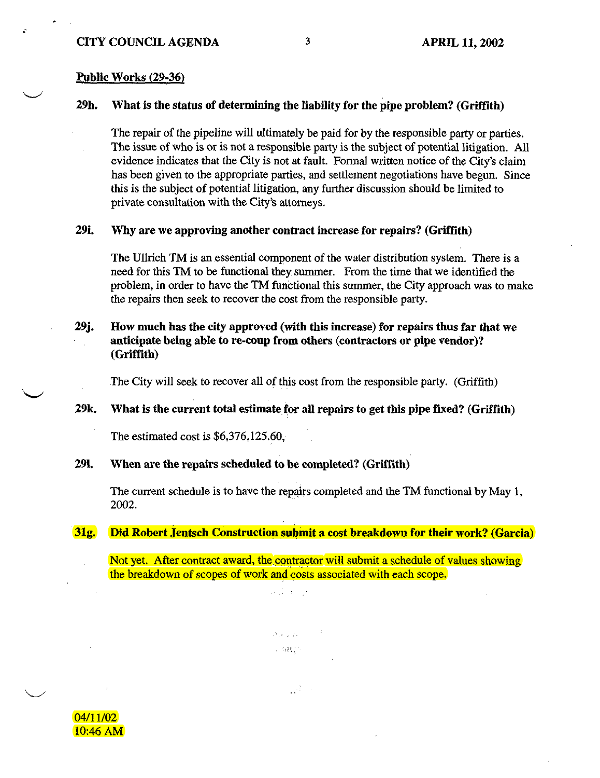# Public Works (29-36)

 $\mathbf{r}$ 

# 29h. What is the status of determining the liability for the pipe problem? (Griffith)

The repair of the pipeline will ultimately be paid for by the responsible party or parties. The issue of who is or is not a responsible party is the subject of potential litigation. All evidence indicates that the City is not at fault. Formal written notice of the City's claim has been given to the appropriate parties, and settlement negotiations have begun. Since this is the subject of potential litigation, any further discussion should be limited to private consultation with the City's attorneys.

#### 29i. Why are we approving another contract increase for repairs? (Griffith)

The Ullrich TM is an essential component of the water distribution system. There is a need for this TM to be functional they summer. From the time that we identified the problem, in order to have the TM functional this summer, the City approach was to make the repairs then seek to recover the cost from the responsible party.

# 29j. How much has the city approved (with this increase) for repairs thus far that we anticipate being able to re-coup from others (contractors or pipe vendor)? (Griffith)

The City will seek to recover all of this cost from the responsible party. (Griffith)

# 29k. What is the current total estimate for all repairs to get this pipe fixed? (Griffith)

The estimated cost is \$6,376,125.60,

# 291. When are the repairs scheduled to be completed? (Griffith)

The current schedule is to have the repairs completed and the TM functional by May 1, 2002.

# 31g. Did Robert Jentsch Construction submit a cost breakdown for their work? (Garcia)

Not yet. After contract award, the contractor will submit a schedule of values showing the breakdown of scopes of work and costs associated with each scope.

> a di koji  $\mathcal{N}_{\mathrm{LW}}$  ,  $\mathcal{N}_{\mathrm{LW}}$  ,  $\mathcal{N}_{\mathrm{LW}}$ **LIBES**

> > $\mathcal{A} \rightarrow$